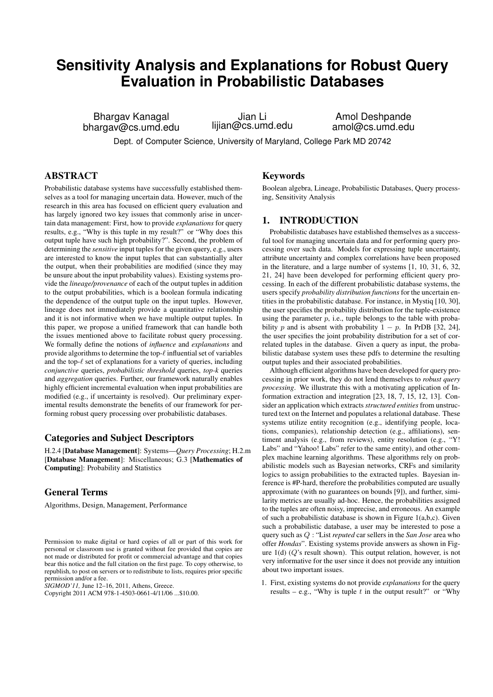# **Sensitivity Analysis and Explanations for Robust Query Evaluation in Probabilistic Databases**

Bhargav Kanagal bhargav@cs.umd.edu

Jian Li lijian@cs.umd.edu

Amol Deshpande amol@cs.umd.edu

Dept. of Computer Science, University of Maryland, College Park MD 20742

# ABSTRACT

Probabilistic database systems have successfully established themselves as a tool for managing uncertain data. However, much of the research in this area has focused on efficient query evaluation and has largely ignored two key issues that commonly arise in uncertain data management: First, how to provide *explanations* for query results, e.g., "Why is this tuple in my result?" or "Why does this output tuple have such high probability?". Second, the problem of determining the *sensitive* input tuples for the given query, e.g., users are interested to know the input tuples that can substantially alter the output, when their probabilities are modified (since they may be unsure about the input probability values). Existing systems provide the *lineage/provenance* of each of the output tuples in addition to the output probabilities, which is a boolean formula indicating the dependence of the output tuple on the input tuples. However, lineage does not immediately provide a quantitative relationship and it is not informative when we have multiple output tuples. In this paper, we propose a unified framework that can handle both the issues mentioned above to facilitate robust query processing. We formally define the notions of *influence* and *explanations* and provide algorithms to determine the top- $\ell$  influential set of variables and the top- $\ell$  set of explanations for a variety of queries, including *conjunctive* queries, *probabilistic threshold* queries, *top-k* queries and *aggregation* queries. Further, our framework naturally enables highly efficient incremental evaluation when input probabilities are modified (e.g., if uncertainty is resolved). Our preliminary experimental results demonstrate the benefits of our framework for performing robust query processing over probabilistic databases.

# Categories and Subject Descriptors

H.2.4 [Database Management]: Systems—*Query Processing*; H.2.m [Database Management]: Miscellaneous; G.3 [Mathematics of Computing]: Probability and Statistics

# General Terms

Algorithms, Design, Management, Performance

*SIGMOD'11,* June 12–16, 2011, Athens, Greece.

# Keywords

Boolean algebra, Lineage, Probabilistic Databases, Query processing, Sensitivity Analysis

# 1. INTRODUCTION

Probabilistic databases have established themselves as a successful tool for managing uncertain data and for performing query processing over such data. Models for expressing tuple uncertainty, attribute uncertainty and complex correlations have been proposed in the literature, and a large number of systems [1, 10, 31, 6, 32, 21, 24] have been developed for performing efficient query processing. In each of the different probabilistic database systems, the users specify *probability distribution functions* for the uncertain entities in the probabilistic database. For instance, in Mystiq [10, 30], the user specifies the probability distribution for the tuple-existence using the parameter  $p$ , i.e., tuple belongs to the table with probability p and is absent with probability  $1 - p$ . In PrDB [32, 24], the user specifies the joint probability distribution for a set of correlated tuples in the database. Given a query as input, the probabilistic database system uses these pdfs to determine the resulting output tuples and their associated probabilities.

Although efficient algorithms have been developed for query processing in prior work, they do not lend themselves to *robust query processing*. We illustrate this with a motivating application of Information extraction and integration [23, 18, 7, 15, 12, 13]. Consider an application which extracts *structured entities* from unstructured text on the Internet and populates a relational database. These systems utilize entity recognition (e.g., identifying people, locations, companies), relationship detection (e.g., affiliations), sentiment analysis (e.g., from reviews), entity resolution (e.g., "Y! Labs" and "Yahoo! Labs" refer to the same entity), and other complex machine learning algorithms. These algorithms rely on probabilistic models such as Bayesian networks, CRFs and similarity logics to assign probabilities to the extracted tuples. Bayesian inference is #P-hard, therefore the probabilities computed are usually approximate (with no guarantees on bounds [9]), and further, similarity metrics are usually ad-hoc. Hence, the probabilities assigned to the tuples are often noisy, imprecise, and erroneous. An example of such a probabilistic database is shown in Figure 1(a,b,c). Given such a probabilistic database, a user may be interested to pose a query such as Q : "List *reputed* car sellers in the *San Jose* area who offer *Hondas*". Existing systems provide answers as shown in Figure  $1(d)$  ( $Q$ 's result shown). This output relation, however, is not very informative for the user since it does not provide any intuition about two important issues.

1. First, existing systems do not provide *explanations* for the query results – e.g., "Why is tuple t in the output result?" or "Why"

Permission to make digital or hard copies of all or part of this work for personal or classroom use is granted without fee provided that copies are not made or distributed for profit or commercial advantage and that copies bear this notice and the full citation on the first page. To copy otherwise, to republish, to post on servers or to redistribute to lists, requires prior specific permission and/or a fee.

Copyright 2011 ACM 978-1-4503-0661-4/11/06 ...\$10.00.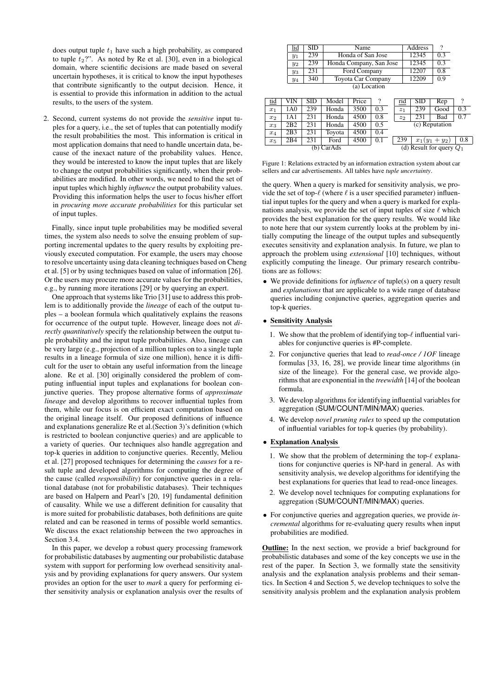does output tuple  $t_1$  have such a high probability, as compared to tuple  $t_2$ ?". As noted by Re et al. [30], even in a biological domain, where scientific decisions are made based on several uncertain hypotheses, it is critical to know the input hypotheses that contribute significantly to the output decision. Hence, it is essential to provide this information in addition to the actual results, to the users of the system.

2. Second, current systems do not provide the *sensitive* input tuples for a query, i.e., the set of tuples that can potentially modify the result probabilities the most. This information is critical in most application domains that need to handle uncertain data, because of the inexact nature of the probability values. Hence, they would be interested to know the input tuples that are likely to change the output probabilities significantly, when their probabilities are modified. In other words, we need to find the set of input tuples which highly *influence* the output probability values. Providing this information helps the user to focus his/her effort in *procuring more accurate probabilities* for this particular set of input tuples.

Finally, since input tuple probabilities may be modified several times, the system also needs to solve the ensuing problem of supporting incremental updates to the query results by exploiting previously executed computation. For example, the users may choose to resolve uncertainty using data cleaning techniques based on Cheng et al. [5] or by using techniques based on value of information [26]. Or the users may procure more accurate values for the probabilities, e.g., by running more iterations [29] or by querying an expert.

One approach that systems like Trio [31] use to address this problem is to additionally provide the *lineage* of each of the output tuples – a boolean formula which qualitatively explains the reasons for occurrence of the output tuple. However, lineage does not *directly quantitatively* specify the relationship between the output tuple probability and the input tuple probabilities. Also, lineage can be very large (e.g., projection of a million tuples on to a single tuple results in a lineage formula of size one million), hence it is difficult for the user to obtain any useful information from the lineage alone. Re et al. [30] originally considered the problem of computing influential input tuples and explanations for boolean conjunctive queries. They propose alternative forms of *approximate lineage* and develop algorithms to recover influential tuples from them, while our focus is on efficient exact computation based on the original lineage itself. Our proposed definitions of influence and explanations generalize Re et al.(Section 3)'s definition (which is restricted to boolean conjunctive queries) and are applicable to a variety of queries. Our techniques also handle aggregation and top-k queries in addition to conjunctive queries. Recently, Meliou et al. [27] proposed techniques for determining the *causes* for a result tuple and developed algorithms for computing the degree of the cause (called *responsibility*) for conjunctive queries in a relational database (not for probabilistic databases). Their techniques are based on Halpern and Pearl's [20, 19] fundamental definition of causality. While we use a different definition for causality that is more suited for probabilistic databases, both definitions are quite related and can be reasoned in terms of possible world semantics. We discuss the exact relationship between the two approaches in Section 3.4.

In this paper, we develop a robust query processing framework for probabilistic databases by augmenting our probabilistic database system with support for performing low overhead sensitivity analysis and by providing explanations for query answers. Our system provides an option for the user to *mark* a query for performing either sensitivity analysis or explanation analysis over the results of

| 12345<br>239<br>Honda of San Jose<br>$y_1$                    | 0 <sup>3</sup> |
|---------------------------------------------------------------|----------------|
|                                                               |                |
| 12345<br>239<br>Honda Company, San Jose<br>$y_2$              | 0 <sup>3</sup> |
| 12207<br>231<br>Ford Company<br>$y_3$                         | 0.8            |
| 12209<br>340<br><b>Toyota Car Company</b><br>$\overline{y_4}$ | 0.9            |

| (a) Location |  |
|--------------|--|
|--------------|--|

| tıd       | VIN            | SID | Model  | Price             |                            | rid                |  | <b>SID</b> | Rep            |     |
|-----------|----------------|-----|--------|-------------------|----------------------------|--------------------|--|------------|----------------|-----|
| $x_1$     | A0             | 239 | Honda  | $350\overline{0}$ | 0.3                        | $\overline{z_1}$   |  | 239        | Good           | 0.3 |
| $x_2$     | A <sub>1</sub> | 231 | Honda  | 4500              | 0.8                        | $\scriptstyle z_2$ |  | 231        | Bad            | 0.7 |
| $x_3$     | 2B2            | 231 | Honda  | 4500              | 0.5                        |                    |  |            | (c) Reputation |     |
| $x_4$     | 2B3            | 231 | Tovota | 4500              | 0.4                        |                    |  |            |                |     |
| $x_5$     | 2B4            | 231 | Ford   | 4500              | 0.1                        | 239                |  |            | $x_1(y_1+y_2)$ | 0.8 |
| b) CarAds |                |     |        |                   | (d) Result for query $Q_1$ |                    |  |            |                |     |

Figure 1: Relations extracted by an information extraction system about car sellers and car advertisements. All tables have *tuple uncertainty*.

the query. When a query is marked for sensitivity analysis, we provide the set of top- $\ell$  (where  $\ell$  is a user specified parameter) influential input tuples for the query and when a query is marked for explanations analysis, we provide the set of input tuples of size  $\ell$  which provides the best explanation for the query results. We would like to note here that our system currently looks at the problem by initially computing the lineage of the output tuples and subsequently executes sensitivity and explanation analysis. In future, we plan to approach the problem using *extensional* [10] techniques, without explicitly computing the lineage. Our primary research contributions are as follows:

• We provide definitions for *influence* of tuple(s) on a query result and *explanations* that are applicable to a wide range of database queries including conjunctive queries, aggregation queries and top-k queries.

# • Sensitivity Analysis

- 1. We show that the problem of identifying top- $\ell$  influential variables for conjunctive queries is #P-complete.
- 2. For conjunctive queries that lead to *read-once / 1OF* lineage formulas [33, 16, 28], we provide linear time algorithms (in size of the lineage). For the general case, we provide algorithms that are exponential in the *treewidth* [14] of the boolean formula.
- 3. We develop algorithms for identifying influential variables for aggregation (SUM/COUNT/MIN/MAX) queries.
- 4. We develop *novel pruning rules* to speed up the computation of influential variables for top-k queries (by probability).

#### • Explanation Analysis

- 1. We show that the problem of determining the top- $\ell$  explanations for conjunctive queries is NP-hard in general. As with sensitivity analysis, we develop algorithms for identifying the best explanations for queries that lead to read-once lineages.
- 2. We develop novel techniques for computing explanations for aggregation (SUM/COUNT/MIN/MAX) queries.
- For conjunctive queries and aggregation queries, we provide *incremental* algorithms for re-evaluating query results when input probabilities are modified.

Outline: In the next section, we provide a brief background for probabilistic databases and some of the key concepts we use in the rest of the paper. In Section 3, we formally state the sensitivity analysis and the explanation analysis problems and their semantics. In Section 4 and Section 5, we develop techniques to solve the sensitivity analysis problem and the explanation analysis problem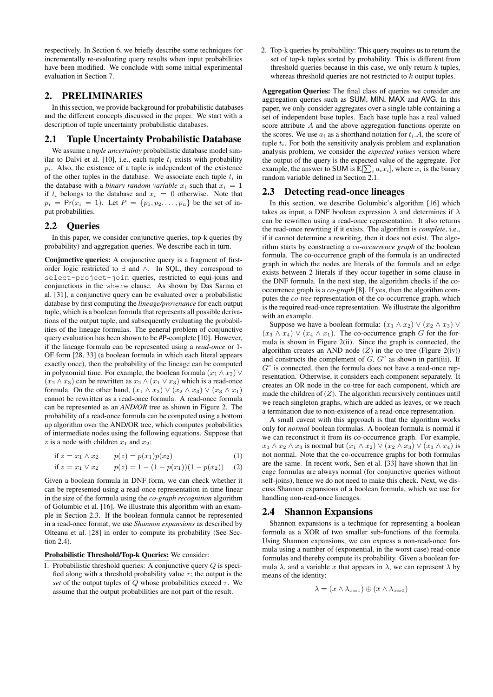respectively. In Section 6, we briefly describe some techniques for incrementally re-evaluating query results when input probabilities have been modified. We conclude with some initial experimental evaluation in Section 7.

# 2. PRELIMINARIES

In this section, we provide background for probabilistic databases and the different concepts discussed in the paper. We start with a description of tuple uncertainty probabilistic databases.

# 2.1 Tuple Uncertainty Probabilistic Database

We assume a *tuple uncertainty* probabilistic database model similar to Dalvi et al. [10], i.e., each tuple  $t_i$  exists with probability  $p_i$ . Also, the existence of a tuple is independent of the existence of the other tuples in the database. We associate each tuple  $t_i$  in the database with a *binary random variable*  $x_i$  such that  $x_i = 1$ if  $t_i$  belongs to the database and  $x_i = 0$  otherwise. Note that  $p_i = Pr(x_i = 1)$ . Let  $P = \{p_1, p_2, \ldots, p_n\}$  be the set of input probabilities.

# 2.2 Queries

In this paper, we consider conjunctive queries, top-k queries (by probability) and aggregation queries. We describe each in turn.

Conjunctive queries: A conjunctive query is a fragment of firstorder logic restricted to ∃ and ∧. In SQL, they correspond to select-project-join queries, restricted to equi-joins and conjunctions in the where clause. As shown by Das Sarma et al. [31], a conjunctive query can be evaluated over a probabilistic database by first computing the *lineage/provenance* for each output tuple, which is a boolean formula that represents all possible derivations of the output tuple, and subsequently evaluating the probabilities of the lineage formulas. The general problem of conjunctive query evaluation has been shown to be #P-complete [10]. However, if the lineage formula can be represented using a *read-once* or 1- OF form [28, 33] (a boolean formula in which each literal appears exactly once), then the probability of the lineage can be computed in polynomial time. For example, the boolean formula  $(x_1 \wedge x_2)$  ∨  $(x_2 \wedge x_3)$  can be rewritten as  $x_2 \wedge (x_1 \vee x_3)$  which is a read-once formula. On the other hand,  $(x_1 \wedge x_2) \vee (x_2 \wedge x_3) \vee (x_3 \wedge x_1)$ cannot be rewritten as a read-once formula. A read-once formula can be represented as an *AND/OR* tree as shown in Figure 2. The probability of a read-once formula can be computed using a bottom up algorithm over the AND/OR tree, which computes probabilities of intermediate nodes using the following equations. Suppose that z is a node with children  $x_1$  and  $x_2$ :

if 
$$
z = x_1 \wedge x_2
$$
  $p(z) = p(x_1)p(x_2)$  (1)

if 
$$
z = x_1 \vee x_2
$$
  $p(z) = 1 - (1 - p(x_1))(1 - p(x_2))$  (2)

Given a boolean formula in DNF form, we can check whether it can be represented using a read-once representation in time linear in the size of the formula using the *co-graph recognition* algorithm of Golumbic et al. [16]. We illustrate this algorithm with an example in Section 2.3. If the boolean formula cannot be represented in a read-once format, we use *Shannon expansions* as described by Olteanu et al. [28] in order to compute its probability (See Section 2.4).

#### Probabilistic Threshold/Top-k Queries: We consider:

1. Probabilistic threshold queries: A conjunctive query  $Q$  is specified along with a threshold probability value  $\tau$ ; the output is the *set* of the output tuples of  $\overline{Q}$  whose probabilities exceed  $\tau$ . We assume that the output probabilities are not part of the result.

2. Top-k queries by probability: This query requires us to return the set of top-k tuples sorted by probability. This is different from threshold queries because in this case, we only return  $k$  tuples, whereas threshold queries are not restricted to  $k$  output tuples.

Aggregation Queries: The final class of queries we consider are aggregation queries such as SUM, MIN, MAX and AVG. In this paper, we only consider aggregates over a single table containing a set of independent base tuples. Each base tuple has a real valued score attribute A and the above aggregation functions operate on the scores. We use  $a_i$  as a shorthand notation for  $t_i.A$ , the score of tuple  $t_i$ . For both the sensitivity analysis problem and explanation analysis problem, we consider the *expected values* version where the output of the query is the expected value of the aggregate. For example, the answer to SUM is  $\mathbb{E}[\sum_i a_i x_i]$ , where  $x_i$  is the binary random variable defined in Section 2.1.

## 2.3 Detecting read-once lineages

In this section, we describe Golumbic's algorithm [16] which takes as input, a DNF boolean expression  $\lambda$  and determines if  $\lambda$ can be rewritten using a read-once representation. It also returns the read-once rewriting if it exists. The algorithm is *complete*, i.e., if it cannot determine a rewriting, then it does not exist. The algorithm starts by constructing a *co-occurrence graph* of the boolean formula. The co-occurrence graph of the formula is an undirected graph in which the nodes are literals of the formula and an edge exists between 2 literals if they occur together in some clause in the DNF formula. In the next step, the algorithm checks if the cooccurrence graph is a *co-graph* [8]. If yes, then the algorithm computes the *co-tree* representation of the co-occurrence graph, which is the required read-once representation. We illustrate the algorithm with an example.

Suppose we have a boolean formula:  $(x_1 \wedge x_2) \vee (x_2 \wedge x_3) \vee$  $(x_3 \wedge x_4) \vee (x_4 \wedge x_1)$ . The co-occurrence graph G for the formula is shown in Figure 2(ii). Since the graph is connected, the algorithm creates an AND node  $(Z)$  in the co-tree (Figure 2(iv)) and constructs the complement of  $G$ ,  $G<sup>c</sup>$  as shown in part(iii). If  $G<sup>c</sup>$  is connected, then the formula does not have a read-once representation. Otherwise, it considers each component separately. It creates an OR node in the co-tree for each component, which are made the children of  $(Z)$ . The algorithm recursively continues until we reach singleton graphs, which are added as leaves, or we reach a termination due to non-existence of a read-once representation.

A small caveat with this approach is that the algorithm works only for *normal* boolean formulas. A boolean formula is normal if we can reconstruct it from its co-occurrence graph. For example,  $x_1 \wedge x_2 \wedge x_3$  is normal but  $(x_1 \wedge x_2) \vee (x_2 \wedge x_3) \vee (x_3 \wedge x_4)$  is not normal. Note that the co-occurrence graphs for both formulas are the same. In recent work, Sen et al. [33] have shown that lineage formulas are always normal (for conjunctive queries without self-joins), hence we do not need to make this check. Next, we discuss Shannon expansions of a boolean formula, which we use for handling non-read-once lineages.

## 2.4 Shannon Expansions

Shannon expansions is a technique for representing a boolean formula as a XOR of two smaller sub-functions of the formula. Using Shannon expansions, we can express a non-read-once formula using a number of (exponential, in the worst case) read-once formulas and thereby compute its probability. Given a boolean formula  $\lambda$ , and a variable x that appears in  $\lambda$ , we can represent  $\lambda$  by means of the identity:

$$
\lambda = (x \wedge \lambda_{x=1}) \oplus (\overline{x} \wedge \lambda_{x=0})
$$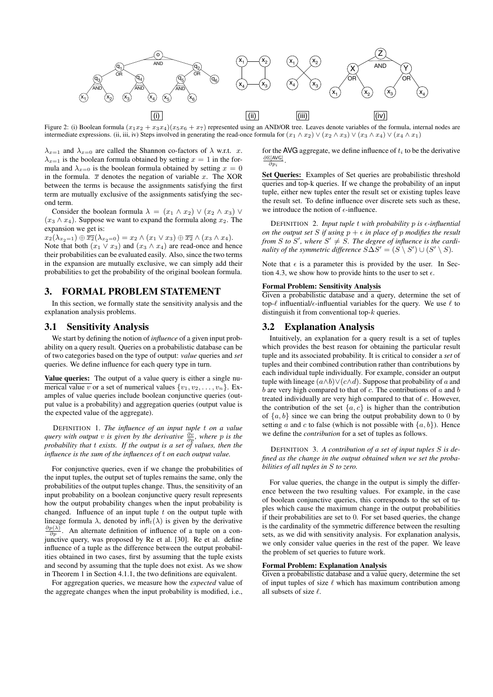

Figure 2: (i) Boolean formula  $(x_1x_2 + x_3x_4)(x_5x_6 + x_7)$  represented using an AND/OR tree. Leaves denote variables of the formula, internal nodes are intermediate expressions. (ii, iii, iv) Steps involved in generating the read-once formula for  $(x_1 \wedge x_2) \vee (x_2 \wedge x_3) \vee (x_3 \wedge x_4) \vee (x_4 \wedge x_1)$ 

 $\lambda_{x=1}$  and  $\lambda_{x=0}$  are called the Shannon co-factors of  $\lambda$  w.r.t. x.  $\lambda_{x=1}$  is the boolean formula obtained by setting  $x = 1$  in the formula and  $\lambda_{x=0}$  is the boolean formula obtained by setting  $x = 0$ in the formula.  $\bar{x}$  denotes the negation of variable x. The XOR between the terms is because the assignments satisfying the first term are mutually exclusive of the assignments satisfying the second term.

Consider the boolean formula  $\lambda = (x_1 \wedge x_2) \vee (x_2 \wedge x_3) \vee$  $(x_3 \wedge x_4)$ . Suppose we want to expand the formula along  $x_2$ . The expansion we get is:

 $x_2(\lambda_{x_2=1}) \oplus \overline{x_2}(\lambda_{x_2=0}) = x_2 \wedge (x_1 \vee x_3) \oplus \overline{x_2} \wedge (x_3 \wedge x_4).$ Note that both  $(x_1 \vee x_3)$  and  $(x_3 \wedge x_4)$  are read-once and hence their probabilities can be evaluated easily. Also, since the two terms in the expansion are mutually exclusive, we can simply add their probabilities to get the probability of the original boolean formula.

# 3. FORMAL PROBLEM STATEMENT

In this section, we formally state the sensitivity analysis and the explanation analysis problems.

# 3.1 Sensitivity Analysis

We start by defining the notion of *influence* of a given input probability on a query result. Queries on a probabilistic database can be of two categories based on the type of output: *value* queries and *set* queries. We define influence for each query type in turn.

Value queries: The output of a value query is either a single numerical value v or a set of numerical values  $\{v_1, v_2, \ldots, v_n\}$ . Examples of value queries include boolean conjunctive queries (output value is a probability) and aggregation queries (output value is the expected value of the aggregate).

DEFINITION 1. *The influence of an input tuple* t *on a value query with output* v *is given by the derivative*  $\frac{\partial v}{\partial p}$ *, where p is the probability that* t *exists. If the output is a set of values, then the influence is the sum of the influences of* t *on each output value.*

For conjunctive queries, even if we change the probabilities of the input tuples, the output set of tuples remains the same, only the probabilities of the output tuples change. Thus, the sensitivity of an input probability on a boolean conjunctive query result represents how the output probability changes when the input probability is changed. Influence of an input tuple  $t$  on the output tuple with lineage formula  $\lambda$ , denoted by  $\inf_t(\lambda)$  is given by the derivative  $\frac{\partial p(\lambda)}{\partial p}$ . An alternate definition of influence of a tuple on a conjunctive query, was proposed by Re et al. [30]. Re et al. define influence of a tuple as the difference between the output probabilities obtained in two cases, first by assuming that the tuple exists and second by assuming that the tuple does not exist. As we show in Theorem 1 in Section 4.1.1, the two definitions are equivalent.

For aggregation queries, we measure how the *expected* value of the aggregate changes when the input probability is modified, i.e.,

for the AVG aggregate, we define influence of  $t_i$  to be the derivative  $\frac{\partial \mathbb{E}[\text{AVG}]}{\partial n}$ .  $\partial p_i$ 

Set Queries: Examples of Set queries are probabilistic threshold queries and top-k queries. If we change the probability of an input tuple, either new tuples enter the result set or existing tuples leave the result set. To define influence over discrete sets such as these, we introduce the notion of  $\epsilon$ -influence.

DEFINITION 2. *Input tuple* t *with probability* p *is -influential on the output set* S *if using*  $p + \epsilon$  *in place of* p *modifies the result from S* to *S'*, where  $S' \neq S$ . The degree of influence is the cardi*nality of the symmetric difference*  $S\Delta S' = (S \setminus S') \cup (S' \setminus S)$ .

Note that  $\epsilon$  is a parameter this is provided by the user. In Section 4.3, we show how to provide hints to the user to set  $\epsilon$ .

## Formal Problem: Sensitivity Analysis

Given a probabilistic database and a query, determine the set of top- $\ell$  influential/ $\epsilon$ -influential variables for the query. We use  $\ell$  to distinguish it from conventional top-k queries.

## 3.2 Explanation Analysis

Intuitively, an explanation for a query result is a set of tuples which provides the best reason for obtaining the particular result tuple and its associated probability. It is critical to consider a *set* of tuples and their combined contribution rather than contributions by each individual tuple individually. For example, consider an output tuple with lineage  $(a \wedge b) \vee (c \wedge d)$ . Suppose that probability of a and  $b$  are very high compared to that of  $c$ . The contributions of  $a$  and  $b$ treated individually are very high compared to that of c. However, the contribution of the set  $\{a, c\}$  is higher than the contribution of  $\{a, b\}$  since we can bring the output probability down to 0 by setting a and c to false (which is not possible with  $\{a, b\}$ ). Hence we define the *contribution* for a set of tuples as follows.

DEFINITION 3. *A contribution of a set of input tuples* S *is defined as the change in the output obtained when we set the probabilities of all tuples in* S *to zero.*

For value queries, the change in the output is simply the difference between the two resulting values. For example, in the case of boolean conjunctive queries, this corresponds to the set of tuples which cause the maximum change in the output probabilities if their probabilities are set to 0. For set based queries, the change is the cardinality of the symmetric difference between the resulting sets, as we did with sensitivity analysis. For explanation analysis, we only consider value queries in the rest of the paper. We leave the problem of set queries to future work.

# Formal Problem: Explanation Analysis

Given a probabilistic database and a value query, determine the set of input tuples of size  $\ell$  which has maximum contribution among all subsets of size  $\ell$ .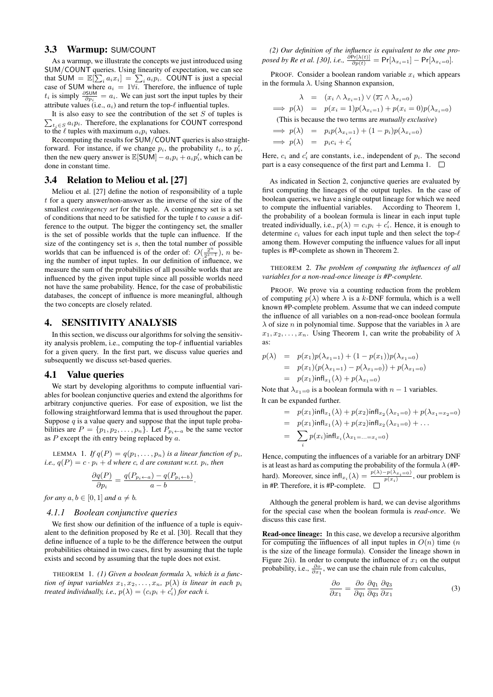## 3.3 Warmup: SUM/COUNT

As a warmup, we illustrate the concepts we just introduced using SUM/COUNT queries. Using linearity of expectation, we can see that SUM =  $\mathbb{E}[\sum_i a_i x_i] = \sum_i a_i p_i$ . COUNT is just a special case of SUM where  $a_i = 1 \forall i$ . Therefore, the influence of tuple  $t_i$  is simply  $\frac{\partial \text{SUM}}{\partial p_i} = a_i$ . We can just sort the input tuples by their attribute values (i.e.,  $a_i$ ) and return the top- $\ell$  influential tuples.

 $\sum_{t_i \in S} a_i p_i$ . Therefore, the explanations for COUNT correspond It is also easy to see the contribution of the set  $S$  of tuples is to the  $\ell$  tuples with maximum  $a_i p_i$  values.

Recomputing the results for SUM/COUNT queries is also straightforward. For instance, if we change  $p_i$ , the probability  $t_i$ , to  $p_i^{\overline{i}}$ , then the new query answer is  $\mathbb{E}[\text{SUM}] - a_i p_i + a_i p'_i$ , which can be done in constant time.

#### 3.4 Relation to Meliou et al. [27]

Meliou et al. [27] define the notion of responsibility of a tuple t for a query answer/non-answer as the inverse of the size of the smallest *contingency set* for the tuple. A contingency set is a set of conditions that need to be satisfied for the tuple t to *cause* a difference to the output. The bigger the contingency set, the smaller is the set of possible worlds that the tuple can influence. If the size of the contingency set is s, then the total number of possible worlds that can be influenced is of the order of:  $O(\frac{2^n}{2^{s-1}})$ , n being the number of input tuples. In our definition of influence, we measure the sum of the probabilities of all possible worlds that are influenced by the given input tuple since all possible worlds need not have the same probability. Hence, for the case of probabilistic databases, the concept of influence is more meaningful, although the two concepts are closely related.

# 4. SENSITIVITY ANALYSIS

In this section, we discuss our algorithms for solving the sensitivity analysis problem, i.e., computing the top- $\ell$  influential variables for a given query. In the first part, we discuss value queries and subsequently we discuss set-based queries.

## 4.1 Value queries

We start by developing algorithms to compute influential variables for boolean conjunctive queries and extend the algorithms for arbitrary conjunctive queries. For ease of exposition, we list the following straightforward lemma that is used throughout the paper. Suppose  $q$  is a value query and suppose that the input tuple probabilities are  $P = \{p_1, p_2, \ldots, p_n\}$ . Let  $P_{p_i \leftarrow a}$  be the same vector as  $P$  except the *i*th entry being replaced by  $a$ .

LEMMA 1. If  $q(P) = q(p_1, \ldots, p_n)$  is a linear function of  $p_i$ , *i.e.,*  $q(P) = c \cdot p_i + d$  *where c, d are constant w.r.t.*  $p_i$ *, then* 

$$
\frac{\partial q(P)}{\partial p_i} = \frac{q(P_{p_i \leftarrow a}) - q(P_{p_i \leftarrow b})}{a - b}.
$$

*for any*  $a, b \in [0, 1]$  *and*  $a \neq b$ *.* 

#### *4.1.1 Boolean conjunctive queries*

We first show our definition of the influence of a tuple is equivalent to the definition proposed by Re et al. [30]. Recall that they define influence of a tuple to be the difference between the output probabilities obtained in two cases, first by assuming that the tuple exists and second by assuming that the tuple does not exist.

THEOREM 1. *(1) Given a boolean formula* λ*, which is a function of input variables*  $x_1, x_2, \ldots, x_n$ ,  $p(\lambda)$  *is linear in each*  $p_i$ *treated individually, i.e.,*  $p(\lambda) = (c_i p_i + c'_i)$  *for each i.* 

*(2) Our definition of the influence is equivalent to the one proposed by Re et al. [30], i.e.,*  $\frac{\partial \Pr[\lambda(t)]}{\partial p(t)} = \Pr[\lambda_{x_i=1}] - \Pr[\lambda_{x_i=0}]$ .

PROOF. Consider a boolean random variable  $x_i$  which appears in the formula  $\lambda$ . Using Shannon expansion,

$$
\lambda = (x_i \land \lambda_{x_i=1}) \lor (\overline{x_i} \land \lambda_{x_i=0})
$$
  
\n
$$
\implies p(\lambda) = p(x_i = 1)p(\lambda_{x_i=1}) + p(x_i = 0)p(\lambda_{x_i=0})
$$
  
\n(This is because the two terms are *mutually exclusive*)  
\n
$$
\implies p(\lambda) = p_i p(\lambda_{x_i=1}) + (1 - p_i) p(\lambda_{x_i=0})
$$

$$
\Rightarrow p(\lambda) = p_i p(\lambda x_i = 1) + (1 - p_i) p(\lambda x_i = 0)
$$
  
\n
$$
\Rightarrow p(\lambda) = p_i c_i + c'_i
$$

Here,  $c_i$  and  $c'_i$  are constants, i.e., independent of  $p_i$ . The second part is a easy consequence of the first part and Lemma 1.  $\Box$ 

As indicated in Section 2, conjunctive queries are evaluated by first computing the lineages of the output tuples. In the case of boolean queries, we have a single output lineage for which we need to compute the influential variables. According to Theorem 1, the probability of a boolean formula is linear in each input tuple treated individually, i.e.,  $p(\lambda) = c_i p_i + c'_i$ . Hence, it is enough to determine  $c_i$  values for each input tuple and then select the top- $\ell$ among them. However computing the influence values for all input tuples is #P-complete as shown in Theorem 2.

THEOREM 2. *The problem of computing the influences of all variables for a non-read-once lineage is #P-complete.*

PROOF. We prove via a counting reduction from the problem of computing  $p(\lambda)$  where  $\lambda$  is a k-DNF formula, which is a well known #P-complete problem. Assume that we can indeed compute the influence of all variables on a non-read-once boolean formula  $\lambda$  of size *n* in polynomial time. Suppose that the variables in  $\lambda$  are  $x_1, x_2, \ldots, x_n$ . Using Theorem 1, can write the probability of  $\lambda$ as:

$$
p(\lambda) = p(x_1)p(\lambda_{x_1=1}) + (1 - p(x_1))p(\lambda_{x_1=0})
$$
  
=  $p(x_1)(p(\lambda_{x_1=1}) - p(\lambda_{x_1=0})) + p(\lambda_{x_1=0})$   
=  $p(x_1)\inf_{x_1}(\lambda) + p(\lambda_{x_1=0})$ 

Note that  $\lambda_{x_1=0}$  is a boolean formula with  $n-1$  variables. It can be expanded further.

= 
$$
p(x_1)\inf_{x_1}(\lambda) + p(x_2)\inf_{x_2}(\lambda_{x_1=0}) + p(\lambda_{x_1=x_2=0})
$$
  
\n=  $p(x_1)\inf_{x_1}(\lambda) + p(x_2)\inf_{x_2}(\lambda_{x_1=0}) + ...$   
\n=  $\sum_i p(x_i)\inf_{x_i}(\lambda_{x_1=...=x_i=0})$ 

Hence, computing the influences of a variable for an arbitrary DNF is at least as hard as computing the probability of the formula  $\lambda$  (#Phard). Moreover, since  $\inf x_i(\lambda) = \frac{p(\lambda) - p(\lambda x_i=0)}{p(x_i)}$ , our problem is in #P. Therefore, it is #P-complete.

Although the general problem is hard, we can devise algorithms for the special case when the boolean formula is *read-once*. We discuss this case first.

Read-once lineage: In this case, we develop a recursive algorithm for computing the influences of all input tuples in  $O(n)$  time (*n*) is the size of the lineage formula). Consider the lineage shown in Figure 2(i). In order to compute the influence of  $x_1$  on the output probability, i.e.,  $\frac{\partial o}{\partial x_1}$ , we can use the chain rule from calculus,

$$
\frac{\partial o}{\partial x_1} = \frac{\partial o}{\partial q_1} \frac{\partial q_1}{\partial q_3} \frac{\partial q_3}{\partial x_1} \tag{3}
$$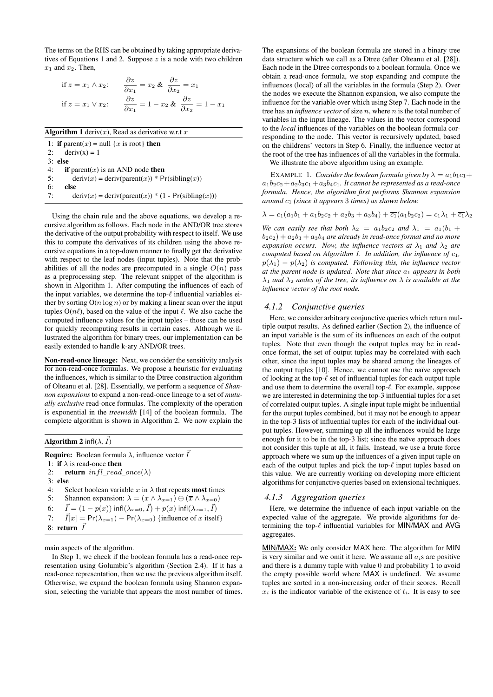The terms on the RHS can be obtained by taking appropriate derivatives of Equations 1 and 2. Suppose  $z$  is a node with two children  $x_1$  and  $x_2$ . Then,

if 
$$
z = x_1 \wedge x_2
$$
:  
\n
$$
\frac{\partial z}{\partial x_1} = x_2 \& \frac{\partial z}{\partial x_2} = x_1
$$
\nif  $z = x_1 \vee x_2$ :  
\n
$$
\frac{\partial z}{\partial x_1} = 1 - x_2 \& \frac{\partial z}{\partial x_2} = 1 - x_1
$$

|    | <b>Algorithm 1</b> deriv(x), Read as derivative w.r.t x |
|----|---------------------------------------------------------|
|    | 1: if parent(x) = null {x is root} then                 |
| 2: | $deriv(x) = 1$                                          |
|    | $3:$ else                                               |
| 4: | if parent $(x)$ is an AND node then                     |
| 5: | $deriv(x) = deriv(parent(x)) * Pr(sibling(x))$          |
| 6: | else                                                    |
| 7: | $deriv(x) = deriv(parent(x)) * (1 - Pr(sibling(x)))$    |

Using the chain rule and the above equations, we develop a recursive algorithm as follows. Each node in the AND/OR tree stores the derivative of the output probability with respect to itself. We use this to compute the derivatives of its children using the above recursive equations in a top-down manner to finally get the derivative with respect to the leaf nodes (input tuples). Note that the probabilities of all the nodes are precomputed in a single  $O(n)$  pass as a preprocessing step. The relevant snippet of the algorithm is shown in Algorithm 1. After computing the influences of each of the input variables, we determine the top- $\ell$  influential variables either by sorting  $O(n \log n)$  or by making a linear scan over the input tuples  $O(n\ell)$ , based on the value of the input  $\ell$ . We also cache the computed influence values for the input tuples – those can be used for quickly recomputing results in certain cases. Although we illustrated the algorithm for binary trees, our implementation can be easily extended to handle k-ary AND/OR trees.

Non-read-once lineage: Next, we consider the sensitivity analysis for non-read-once formulas. We propose a heuristic for evaluating the influences, which is similar to the Dtree construction algorithm of Olteanu et al. [28]. Essentially, we perform a sequence of *Shannon expansions* to expand a non-read-once lineage to a set of *mutually exclusive* read-once formulas. The complexity of the operation is exponential in the *treewidth* [14] of the boolean formula. The complete algorithm is shown in Algorithm 2. We now explain the

**Algorithm 2** infl( $\lambda$ ,  $\vec{I}$ )

**Require:** Boolean formula  $\lambda$ , influence vector  $\vec{I}$ 1: if  $\lambda$  is read-once then 2: **return**  $infl\_read\_once(\lambda)$ 3: else 4: Select boolean variable x in  $\lambda$  that repeats most times 5: Shannon expansion:  $\lambda = (x \wedge \lambda_{x=1}) \oplus (\overline{x} \wedge \lambda_{x=0})$ 6:  $\vec{I} = (1 - p(x)) \inf[(\lambda_{x=0}, \vec{I}) + p(x) \inf[(\lambda_{x=1}, \vec{I})]$ 7:  $\vec{I}[x] = Pr(\lambda_{x=1}) - Pr(\lambda_{x=0})$  {influence of x itself} 8: return  $\vec{I}$ 

main aspects of the algorithm.

In Step 1, we check if the boolean formula has a read-once representation using Golumbic's algorithm (Section 2.4). If it has a read-once representation, then we use the previous algorithm itself. Otherwise, we expand the boolean formula using Shannon expansion, selecting the variable that appears the most number of times.

The expansions of the boolean formula are stored in a binary tree data structure which we call as a Dtree (after Olteanu et al. [28]). Each node in the Dtree corresponds to a boolean formula. Once we obtain a read-once formula, we stop expanding and compute the influences (local) of all the variables in the formula (Step 2). Over the nodes we execute the Shannon expansion, we also compute the influence for the variable over which using Step 7. Each node in the tree has an *influence vector* of size  $n$ , where  $n$  is the total number of variables in the input lineage. The values in the vector correspond to the *local* influences of the variables on the boolean formula corresponding to the node. This vector is recursively updated, based on the childrens' vectors in Step 6. Finally, the influence vector at the root of the tree has influences of all the variables in the formula.

We illustrate the above algorithm using an example.

EXAMPLE 1. *Consider the boolean formula given by*  $\lambda = a_1b_1c_1 +$  $a_1b_2c_2 + a_2b_3c_1 + a_3b_4c_1$ *. It cannot be represented as a read-once formula. Hence, the algorithm first performs Shannon expansion around*  $c_1$  *(since it appears 3 times) as shown below.* 

$$
\lambda = c_1(a_1b_1 + a_1b_2c_2 + a_2b_3 + a_3b_4) + c_1(a_1b_2c_2) = c_1\lambda_1 + c_1\lambda_2
$$

*We can easily see that both*  $\lambda_2 = a_1b_2c_2$  *and*  $\lambda_1 = a_1(b_1 + b_2c_2)$  $b_2c_2$ ) +  $a_2b_3$  +  $a_3b_4$  *are already in read-once format and no more expansion occurs. Now, the influence vectors at*  $\lambda_1$  *and*  $\lambda_2$  *are computed based on Algorithm 1. In addition, the influence of*  $c_1$ *,*  $p(\lambda_1) - p(\lambda_2)$  *is computed. Following this, the influence vector at the parent node is updated. Note that since*  $a_1$  *appears in both*  $\lambda_1$  *and*  $\lambda_2$  *nodes of the tree, its influence on*  $\lambda$  *is available at the influence vector of the root node.*

#### *4.1.2 Conjunctive queries*

Here, we consider arbitrary conjunctive queries which return multiple output results. As defined earlier (Section 2), the influence of an input variable is the sum of its influences on each of the output tuples. Note that even though the output tuples may be in readonce format, the set of output tuples may be correlated with each other, since the input tuples may be shared among the lineages of the output tuples [10]. Hence, we cannot use the naïve approach of looking at the top- $\ell$  set of influential tuples for each output tuple and use them to determine the overall top- $\ell$ . For example, suppose we are interested in determining the top-3 influential tuples for a set of correlated output tuples. A single input tuple might be influential for the output tuples combined, but it may not be enough to appear in the top-3 lists of influential tuples for each of the individual output tuples. However, summing up all the influences would be large enough for it to be in the top-3 list; since the naïve approach does not consider this tuple at all, it fails. Instead, we use a brute force approach where we sum up the influences of a given input tuple on each of the output tuples and pick the top- $\ell$  input tuples based on this value. We are currently working on developing more efficient algorithms for conjunctive queries based on extensional techniques.

#### *4.1.3 Aggregation queries*

Here, we determine the influence of each input variable on the expected value of the aggregate. We provide algorithms for determining the top- $\ell$  influential variables for MIN/MAX and AVG aggregates.

MIN/MAX: We only consider MAX here. The algorithm for MIN is very similar and we omit it here. We assume all  $a_i$ s are positive and there is a dummy tuple with value 0 and probability 1 to avoid the empty possible world where MAX is undefined. We assume tuples are sorted in a non-increasing order of their scores. Recall  $x_i$  is the indicator variable of the existence of  $t_i$ . It is easy to see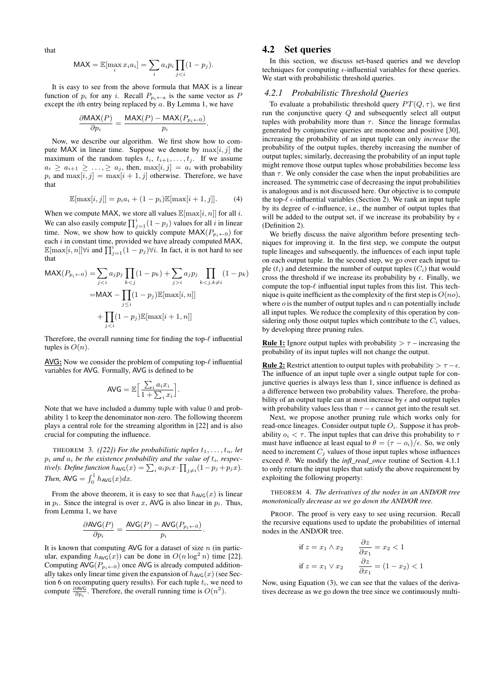that

$$
MAX = \mathbb{E}[\max_i x_i a_i] = \sum_i a_i p_i \prod_{j < i} (1 - p_j).
$$

It is easy to see from the above formula that MAX is a linear function of  $p_i$  for any i. Recall  $P_{p_i \leftarrow a}$  is the same vector as P except the *i*th entry being replaced by a. By Lemma 1, we have

$$
\frac{\partial \text{MAX}(P)}{\partial p_i} = \frac{\text{MAX}(P) - \text{MAX}(P_{p_i \leftarrow 0})}{p_i}
$$

.

Now, we describe our algorithm. We first show how to compute MAX in linear time. Suppose we denote by  $\max[i, j]$  the maximum of the random tuples  $t_i$ ,  $t_{i+1}, \ldots, t_j$ . If we assume  $a_i \ge a_{i+1} \ge \ldots, \ge a_j$ , then,  $\max[i, j] = a_i$  with probability  $p_i$  and  $\max[i, j] = \max[i + 1, j]$  otherwise. Therefore, we have that

$$
\mathbb{E}[\max[i,j]] = p_i a_i + (1-p_i)\mathbb{E}[\max[i+1,j]]. \tag{4}
$$

When we compute MAX, we store all values  $\mathbb{E}[\max[i, n]]$  for all i. We can also easily compute  $\prod_{j=1}^{i} (1 - p_j)$  values for all i in linear time. Now, we show how to quickly compute  $MAX(P_{p_i \leftarrow 0})$  for each  $i$  in constant time, provided we have already computed MAX,  $\mathbb{E}[\max[i,n]] \forall i$  and  $\prod_{j=1}^{i} (1-p_j) \forall i$ . In fact, it is not hard to see that

$$
\begin{aligned} \text{MAX}(P_{p_i \leftarrow 0}) &= \sum_{j < i} a_j p_j \prod_{k < j} (1 - p_k) + \sum_{j > i} a_j p_j \prod_{k < j, k \neq i} (1 - p_k) \\ &= \text{MAX} - \prod_{j < i} (1 - p_j) \mathbb{E}[\max[i, n]] \\ &+ \prod_{j < i} (1 - p_j) \mathbb{E}[\max[i + 1, n]] \end{aligned}
$$

Therefore, the overall running time for finding the top- $\ell$  influential tuples is  $O(n)$ .

AVG: Now we consider the problem of computing top- $\ell$  influential variables for AVG. Formally, AVG is defined to be

$$
\text{AVG} = \mathbb{E}\Big[\frac{\sum_{i} a_i x_i}{1 + \sum_{i} x_i}\Big].
$$

Note that we have included a dummy tuple with value 0 and probability 1 to keep the denominator non-zero. The following theorem plays a central role for the streaming algorithm in [22] and is also crucial for computing the influence.

THEOREM 3. *([22]) For the probabilistic tuples*  $t_1, \ldots, t_n$ , let  $p_i$  and  $a_i$  be the existence probability and the value of  $t_i$ , respectively. Define function  $h_{\text{AVG}}(x) = \sum_i a_i p_i x \cdot \prod_{j \neq i} (1 - p_j + p_j x)$ . *Then,*  $AVG = \int_0^1 h_{AVG}(x) dx$ .

From the above theorem, it is easy to see that  $h_{AVG}(x)$  is linear in  $p_i$ . Since the integral is over x, AVG is also linear in  $p_i$ . Thus, from Lemma 1, we have

$$
\frac{\partial \text{AVG}(P)}{\partial p_i} = \frac{\text{AVG}(P) - \text{AVG}(P_{p_i \leftarrow 0})}{p_i}.
$$

It is known that computing AVG for a dataset of size  $n$  (in particular, expanding  $h_{AVG}(x)$  can be done in  $O(n \log^2 n)$  time [22]. Computing  $AVG(P_{p_i \leftarrow 0})$  once AVG is already computed additionally takes only linear time given the expansion of  $h_{AVG}(x)$  (see Section 6 on recomputing query results). For each tuple  $t_i$ , we need to compute  $\frac{\partial \text{AVG}}{\partial p_i}$ . Therefore, the overall running time is  $O(n^2)$ .

# 4.2 Set queries

In this section, we discuss set-based queries and we develop techniques for computing  $\epsilon$ -influential variables for these queries. We start with probabilistic threshold queries.

## *4.2.1 Probabilistic Threshold Queries*

To evaluate a probabilistic threshold query  $PT(Q, \tau)$ , we first run the conjunctive query  $Q$  and subsequently select all output tuples with probability more than  $\tau$ . Since the lineage formulas generated by conjunctive queries are monotone and positive [30], increasing the probability of an input tuple can only *increase* the probability of the output tuples, thereby increasing the number of output tuples; similarly, decreasing the probability of an input tuple might remove those output tuples whose probabilities become less than  $\tau$ . We only consider the case when the input probabilities are increased. The symmetric case of decreasing the input probabilities is analogous and is not discussed here. Our objective is to compute the top- $\ell$   $\epsilon$ -influential variables (Section 2). We rank an input tuple by its degree of  $\epsilon$ -influence, i.e., the number of output tuples that will be added to the output set, if we increase its probability by  $\epsilon$ (Definition 2).

We briefly discuss the naive algorithm before presenting techniques for improving it. In the first step, we compute the output tuple lineages and subsequently, the influences of each input tuple on each output tuple. In the second step, we go over each input tuple  $(t_i)$  and determine the number of output tuples  $(C_i)$  that would cross the threshold if we increase its probability by  $\epsilon$ . Finally, we compute the top- $\ell$  influential input tuples from this list. This technique is quite inefficient as the complexity of the first step is  $O(no)$ , where  $o$  is the number of output tuples and  $n$  can potentially include all input tuples. We reduce the complexity of this operation by considering only those output tuples which contribute to the  $C_i$  values, by developing three pruning rules.

**Rule 1:** Ignore output tuples with probability  $> \tau$  – increasing the probability of its input tuples will not change the output.

**Rule 2:** Restrict attention to output tuples with probability  $> \tau - \epsilon$ . The influence of an input tuple over a single output tuple for conjunctive queries is always less than 1, since influence is defined as a difference between two probability values. Therefore, the probability of an output tuple can at most increase by  $\epsilon$  and output tuples with probability values less than  $\tau - \epsilon$  cannot get into the result set.

Next, we propose another pruning rule which works only for read-once lineages. Consider output tuple  $O_i$ . Suppose it has probability  $o_i < \tau$ . The input tuples that can drive this probability to  $\tau$ must have influence at least equal to  $\theta = (\tau - o_i)/\epsilon$ . So, we only need to increment  $C_j$  values of those input tuples whose influences exceed θ. We modify the *infl\_read\_once* routine of Section 4.1.1 to only return the input tuples that satisfy the above requirement by exploiting the following property:

THEOREM 4. *The derivatives of the nodes in an AND/OR tree monotonically decrease as we go down the AND/OR tree.*

PROOF. The proof is very easy to see using recursion. Recall the recursive equations used to update the probabilities of internal nodes in the AND/OR tree.

$$
\text{if } z = x_1 \land x_2 \qquad \frac{\partial z}{\partial x_1} = x_2 < 1
$$
\n
$$
\text{if } z = x_1 \lor x_2 \qquad \frac{\partial z}{\partial x_1} = (1 - x_2) < 1
$$

Now, using Equation (3), we can see that the values of the derivatives decrease as we go down the tree since we continuously multi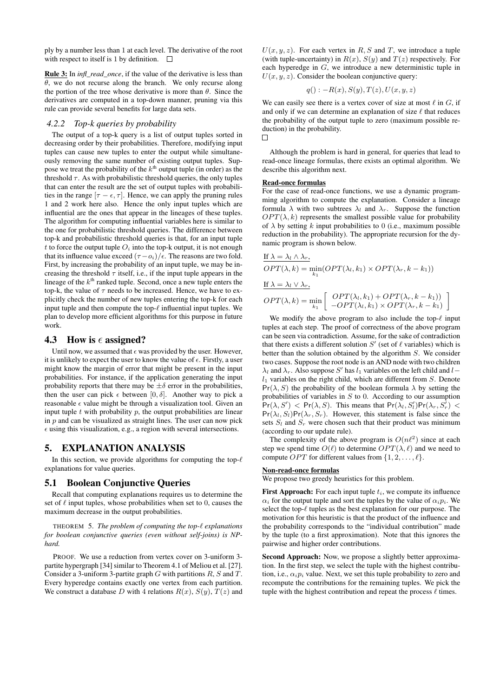ply by a number less than 1 at each level. The derivative of the root with respect to itself is 1 by definition.  $\Box$ 

Rule 3: In *infl\_read\_once*, if the value of the derivative is less than  $\theta$ , we do not recurse along the branch. We only recurse along the portion of the tree whose derivative is more than  $\theta$ . Since the derivatives are computed in a top-down manner, pruning via this rule can provide several benefits for large data sets.

#### *4.2.2 Top-k queries by probability*

The output of a top-k query is a list of output tuples sorted in decreasing order by their probabilities. Therefore, modifying input tuples can cause new tuples to enter the output while simultaneously removing the same number of existing output tuples. Suppose we treat the probability of the  $k^{\text{th}}$  output tuple (in order) as the threshold  $\tau$ . As with probabilistic threshold queries, the only tuples that can enter the result are the set of output tuples with probabilities in the range  $[\tau - \epsilon, \tau]$ . Hence, we can apply the pruning rules 1 and 2 work here also. Hence the only input tuples which are influential are the ones that appear in the lineages of these tuples. The algorithm for computing influential variables here is similar to the one for probabilistic threshold queries. The difference between top-k and probabilistic threshold queries is that, for an input tuple t to force the output tuple  $O_i$  into the top-k output, it is not enough that its influence value exceed  $(\tau - o_i)/\epsilon$ . The reasons are two fold. First, by increasing the probability of an input tuple, we may be increasing the threshold  $\tau$  itself, i.e., if the input tuple appears in the lineage of the  $k^{\text{th}}$  ranked tuple. Second, once a new tuple enters the top-k, the value of  $\tau$  needs to be increased. Hence, we have to explicitly check the number of new tuples entering the top-k for each input tuple and then compute the top- $\ell$  influential input tuples. We plan to develop more efficient algorithms for this purpose in future work.

## 4.3 How is  $\epsilon$  assigned?

Until now, we assumed that  $\epsilon$  was provided by the user. However, it is unlikely to expect the user to know the value of  $\epsilon$ . Firstly, a user might know the margin of error that might be present in the input probabilities. For instance, if the application generating the input probability reports that there may be  $\pm \delta$  error in the probabilities, then the user can pick  $\epsilon$  between  $[0, \delta]$ . Another way to pick a reasonable  $\epsilon$  value might be through a visualization tool. Given an input tuple  $t$  with probability  $p$ , the output probabilities are linear in  $p$  and can be visualized as straight lines. The user can now pick  $\epsilon$  using this visualization, e.g., a region with several intersections.

# 5. EXPLANATION ANALYSIS

In this section, we provide algorithms for computing the top- $\ell$ explanations for value queries.

## 5.1 Boolean Conjunctive Queries

Recall that computing explanations requires us to determine the set of  $\ell$  input tuples, whose probabilities when set to 0, causes the maximum decrease in the output probabilities.

THEOREM 5. *The problem of computing the top-* $\ell$  *explanations for boolean conjunctive queries (even without self-joins) is NPhard.*

PROOF. We use a reduction from vertex cover on 3-uniform 3 partite hypergraph [34] similar to Theorem 4.1 of Meliou et al. [27]. Consider a 3-uniform 3-partite graph  $G$  with partitions  $R$ ,  $S$  and  $T$ . Every hyperedge contains exactly one vertex from each partition. We construct a database D with 4 relations  $R(x)$ ,  $S(y)$ ,  $T(z)$  and

 $U(x, y, z)$ . For each vertex in R, S and T, we introduce a tuple (with tuple-uncertainty) in  $R(x)$ ,  $S(y)$  and  $T(z)$  respectively. For each hyperedge in G, we introduce a new deterministic tuple in  $U(x, y, z)$ . Consider the boolean conjunctive query:

$$
q(): -R(x), S(y), T(z), U(x, y, z)
$$

We can easily see there is a vertex cover of size at most  $\ell$  in  $G$ , if and only if we can determine an explanation of size  $\ell$  that reduces the probability of the output tuple to zero (maximum possible reduction) in the probability.  $\Box$ 

Although the problem is hard in general, for queries that lead to read-once lineage formulas, there exists an optimal algorithm. We describe this algorithm next.

#### Read-once formulas

For the case of read-once functions, we use a dynamic programming algorithm to compute the explanation. Consider a lineage formula  $\lambda$  with two subtrees  $\lambda_l$  and  $\lambda_r$ . Suppose the function  $OPT(\lambda, k)$  represents the smallest possible value for probability of  $\lambda$  by setting k input probabilities to 0 (i.e., maximum possible reduction in the probability). The appropriate recursion for the dynamic program is shown below.

If 
$$
\lambda = \lambda_l \wedge \lambda_r
$$
,  
\n
$$
OPT(\lambda, k) = \min_{k_1} (OPT(\lambda_l, k_1) \times OPT(\lambda_r, k - k_1))
$$
\nIf  $\lambda = \lambda_l \vee \lambda_r$ ,  
\n
$$
OPT(\lambda, k) = \min_{k_1} \left[ \begin{array}{c} OPT(\lambda_l, k_1) + OPT(\lambda_r, k - k_1) \\ -OPT(\lambda_l, k_1) \times OPT(\lambda_r, k - k_1) \end{array} \right]
$$

We modify the above program to also include the top- $\ell$  input tuples at each step. The proof of correctness of the above program can be seen via contradiction. Assume, for the sake of contradiction that there exists a different solution  $S'$  (set of  $\ell$  variables) which is better than the solution obtained by the algorithm S. We consider two cases. Suppose the root node is an AND node with two children  $\lambda_l$  and  $\lambda_r$ . Also suppose S' has  $l_1$  variables on the left child and  $l$  $l_1$  variables on the right child, which are different from S. Denote  $Pr(\lambda, S)$  the probability of the boolean formula  $\lambda$  by setting the probabilities of variables in  $S$  to 0. According to our assumption  $Pr(\lambda, S')$  <  $Pr(\lambda, S)$ . This means that  $Pr(\lambda_i, S'_i)Pr(\lambda_r, S'_r)$  <  $Pr(\lambda_l, S_l)Pr(\lambda_r, S_r)$ . However, this statement is false since the sets  $S_l$  and  $S_r$  were chosen such that their product was minimum (according to our update rule).

The complexity of the above program is  $O(nl^2)$  since at each step we spend time  $O(\ell)$  to determine  $OPT(\lambda, \ell)$  and we need to compute *OPT* for different values from  $\{1, 2, \ldots, \ell\}.$ 

#### Non-read-once formulas

We propose two greedy heuristics for this problem.

**First Approach:** For each input tuple  $t_i$ , we compute its influence  $\alpha_i$  for the output tuple and sort the tuples by the value of  $\alpha_i p_i$ . We select the top- $\ell$  tuples as the best explanation for our purpose. The motivation for this heuristic is that the product of the influence and the probability corresponds to the "individual contribution" made by the tuple (to a first approximation). Note that this ignores the pairwise and higher order contributions.

Second Approach: Now, we propose a slightly better approximation. In the first step, we select the tuple with the highest contribution, i.e.,  $\alpha_i p_i$  value. Next, we set this tuple probability to zero and recompute the contributions for the remaining tuples. We pick the tuple with the highest contribution and repeat the process  $\ell$  times.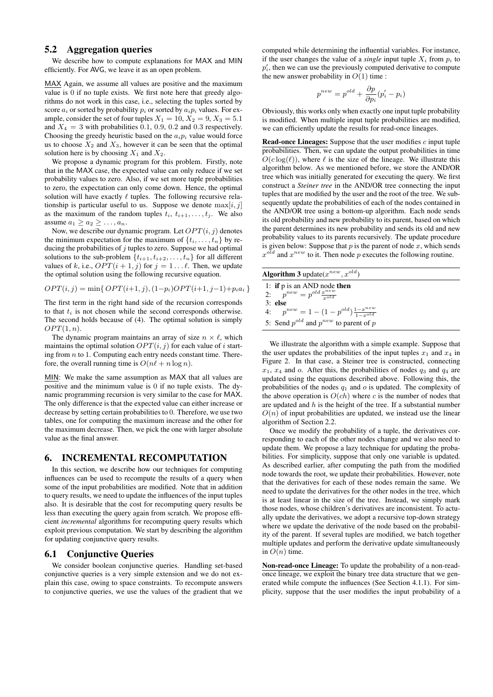# 5.2 Aggregation queries

We describe how to compute explanations for MAX and MIN efficiently. For AVG, we leave it as an open problem.

MAX Again, we assume all values are positive and the maximum value is 0 if no tuple exists. We first note here that greedy algorithms do not work in this case, i.e., selecting the tuples sorted by score  $a_i$  or sorted by probability  $p_i$  or sorted by  $a_i p_i$  values. For example, consider the set of four tuples  $X_1 = 10$ ,  $X_2 = 9$ ,  $X_3 = 5.1$ and  $X_4 = 3$  with probabilities 0.1, 0.9, 0.2 and 0.3 respectively. Choosing the greedy heuristic based on the  $a_i p_i$  value would force us to choose  $X_2$  and  $X_3$ , however it can be seen that the optimal solution here is by choosing  $X_1$  and  $X_2$ .

We propose a dynamic program for this problem. Firstly, note that in the MAX case, the expected value can only reduce if we set probability values to zero. Also, if we set more tuple probabilities to zero, the expectation can only come down. Hence, the optimal solution will have exactly  $\ell$  tuples. The following recursive relationship is particular useful to us. Suppose we denote  $\max[i, j]$ as the maximum of the random tuples  $t_i$ ,  $t_{i+1}, \ldots, t_i$ . We also assume  $a_1 > a_2 > \ldots, a_n$ .

Now, we describe our dynamic program. Let  $OPT(i, j)$  denotes the minimum expectation for the maximum of  $\{t_i, \ldots, t_n\}$  by reducing the probabilities of  $j$  tuples to zero. Suppose we had optimal solutions to the sub-problem  $\{t_{i+1}, t_{i+2}, \ldots, t_n\}$  for all different values of k, i.e.,  $OPT(i + 1, j)$  for  $j = 1...l$ . Then, we update the optimal solution using the following recursive equation.

$$
OPT(i, j) = \min\{OPT(i+1, j), (1-p_i)OPT(i+1, j-1) + p_i a_i\}
$$

The first term in the right hand side of the recursion corresponds to that  $t_i$  is not chosen while the second corresponds otherwise. The second holds because of (4). The optimal solution is simply  $OPT(1, n)$ .

The dynamic program maintains an array of size  $n \times \ell$ , which maintains the optimal solution  $OPT(i, j)$  for each value of i starting from  $n$  to 1. Computing each entry needs constant time. Therefore, the overall running time is  $O(n\ell + n \log n)$ .

MIN: We make the same assumption as MAX that all values are positive and the minimum value is 0 if no tuple exists. The dynamic programming recursion is very similar to the case for MAX. The only difference is that the expected value can either increase or decrease by setting certain probabilities to 0. Therefore, we use two tables, one for computing the maximum increase and the other for the maximum decrease. Then, we pick the one with larger absolute value as the final answer.

#### 6. INCREMENTAL RECOMPUTATION

In this section, we describe how our techniques for computing influences can be used to recompute the results of a query when some of the input probabilities are modified. Note that in addition to query results, we need to update the influences of the input tuples also. It is desirable that the cost for recomputing query results be less than executing the query again from scratch. We propose efficient *incremental* algorithms for recomputing query results which exploit previous computation. We start by describing the algorithm for updating conjunctive query results.

#### 6.1 Conjunctive Queries

We consider boolean conjunctive queries. Handling set-based conjunctive queries is a very simple extension and we do not explain this case, owing to space constraints. To recompute answers to conjunctive queries, we use the values of the gradient that we

computed while determining the influential variables. For instance, if the user changes the value of a *single* input tuple  $X_i$  from  $p_i$  to  $p'_{i}$ , then we can use the previously computed derivative to compute the new answer probability in  $O(1)$  time :

$$
p^{new} = p^{old} + \frac{\partial p}{\partial p_i} (p'_i - p_i)
$$

Obviously, this works only when exactly one input tuple probability is modified. When multiple input tuple probabilities are modified, we can efficiently update the results for read-once lineages.

Read-once Lineages: Suppose that the user modifies  $c$  input tuple probabilities. Then, we can update the output probabilities in time  $O(c \log(\ell))$ , where  $\ell$  is the size of the lineage. We illustrate this algorithm below. As we mentioned before, we store the AND/OR tree which was initially generated for executing the query. We first construct a *Steiner tree* in the AND/OR tree connecting the input tuples that are modified by the user and the root of the tree. We subsequently update the probabilities of each of the nodes contained in the AND/OR tree using a bottom-up algorithm. Each node sends its old probability and new probability to its parent, based on which the parent determines its new probability and sends its old and new probability values to its parents recursively. The update procedure is given below: Suppose that  $p$  is the parent of node  $x$ , which sends  $x^{old}$  and  $x^{new}$  to it. Then node p executes the following routine.

| <b>Algorithm 3</b> update( $x^{new}, x^{old}$ )                  |
|------------------------------------------------------------------|
| 1: if $p$ is an AND node then                                    |
| 2: $p^{new} = p^{old} \frac{x^{new}}{x^{old}}$                   |
| $3:$ else                                                        |
| 4: $p^{new} = 1 - (1 - p^{old}) \frac{1 - x^{new}}{1 - x^{old}}$ |
| 5: Send $p^{old}$ and $p^{new}$ to parent of p                   |

We illustrate the algorithm with a simple example. Suppose that the user updates the probabilities of the input tuples  $x_1$  and  $x_4$  in Figure 2. In that case, a Steiner tree is constructed, connecting  $x_1, x_4$  and o. After this, the probabilities of nodes  $q_3$  and  $q_4$  are updated using the equations described above. Following this, the probabilities of the nodes  $q_1$  and  $o$  is updated. The complexity of the above operation is  $O(ch)$  where c is the number of nodes that are updated and  $h$  is the height of the tree. If a substantial number  $O(n)$  of input probabilities are updated, we instead use the linear algorithm of Section 2.2.

Once we modify the probability of a tuple, the derivatives corresponding to each of the other nodes change and we also need to update them. We propose a lazy technique for updating the probabilities. For simplicity, suppose that only one variable is updated. As described earlier, after computing the path from the modified node towards the root, we update their probabilities. However, note that the derivatives for each of these nodes remain the same. We need to update the derivatives for the other nodes in the tree, which is at least linear in the size of the tree. Instead, we simply mark those nodes, whose children's derivatives are inconsistent. To actually update the derivatives, we adopt a recursive top-down strategy where we update the derivative of the node based on the probability of the parent. If several tuples are modified, we batch together multiple updates and perform the derivative update simultaneously in  $O(n)$  time.

Non-read-once Lineage: To update the probability of a non-readonce lineage, we exploit the binary tree data structure that we generated while compute the influences (See Section 4.1.1). For simplicity, suppose that the user modifies the input probability of a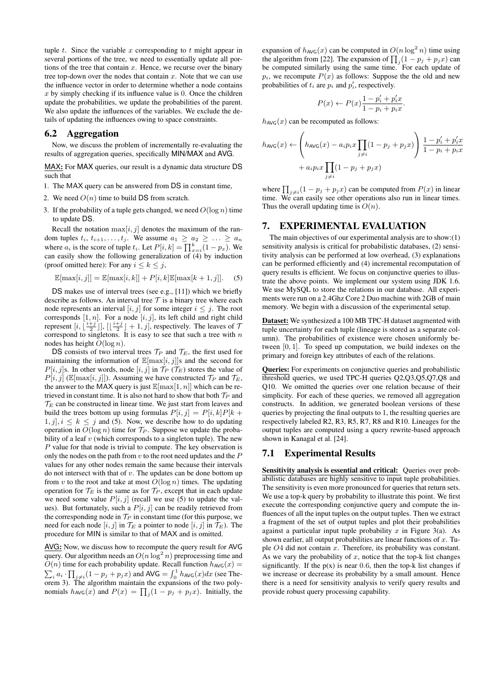tuple  $t$ . Since the variable  $x$  corresponding to  $t$  might appear in several portions of the tree, we need to essentially update all portions of the tree that contain  $x$ . Hence, we recurse over the binary tree top-down over the nodes that contain  $x$ . Note that we can use the influence vector in order to determine whether a node contains  $x$  by simply checking if its influence value is 0. Once the children update the probabilities, we update the probabilities of the parent. We also update the influences of the variables. We exclude the details of updating the influences owing to space constraints.

## 6.2 Aggregation

Now, we discuss the problem of incrementally re-evaluating the results of aggregation queries, specifically MIN/MAX and AVG.

MAX: For MAX queries, our result is a dynamic data structure DS such that

- 1. The MAX query can be answered from DS in constant time,
- 2. We need  $O(n)$  time to build DS from scratch.
- 3. If the probability of a tuple gets changed, we need  $O(\log n)$  time to update DS.

Recall the notation  $\max[i, j]$  denotes the maximum of the random tuples  $t_i$ ,  $t_{i+1}, \ldots, t_j$ . We assume  $a_1 \ge a_2 \ge \ldots \ge a_n$ where  $a_i$  is the score of tuple  $t_i$ . Let  $P[i, k] = \prod_{x=i}^{k} (1 - p_x)$ . We can easily show the following generalization of (4) by induction (proof omitted here): For any  $i \leq k \leq j$ ,

$$
\mathbb{E}[\max[i,j]] = \mathbb{E}[\max[i,k]] + P[i,k]\mathbb{E}[\max[k+1,j]].
$$
 (5)

DS makes use of interval trees (see e.g., [11]) which we briefly describe as follows. An interval tree  $\tau$  is a binary tree where each node represents an interval [i, j] for some integer  $i \leq j$ . The root corresponds [1, n]. For a node [i, j], its left child and right child represent  $[i, \lfloor \frac{i+j}{2} \rfloor], \lfloor \lfloor \frac{i+j}{2} \rfloor + 1, j]$ , respectively. The leaves of 7 correspond to singletons. It is easy to see that such a tree with  $n$ nodes has height  $O(\log n)$ .

DS consists of two interval trees  $\mathcal{T}_P$  and  $\mathcal{T}_E$ , the first used for maintaining the information of  $\mathbb{E}[\max[i, j]]$ s and the second for  $P[i, j]$ s. In other words, node  $[i, j]$  in  $\mathcal{T}_P$  ( $\mathcal{T}_E$ ) stores the value of  $P[i, j]$  ( $\mathbb{E}[\max[i, j]]$ ). Assuming we have constructed  $\mathcal{T}_P$  and  $\mathcal{T}_E$ , the answer to the MAX query is just  $\mathbb{E}[\max[1, n]]$  which can be retrieved in constant time. It is also not hard to show that both  $\mathcal{T}_P$  and  $\mathcal{T}_E$  can be constructed in linear time. We just start from leaves and build the trees bottom up using formulas  $P[i, j] = P[i, k]P[k + j]$  $1, j$ ,  $i \leq k \leq j$  and (5). Now, we describe how to do updating operation in  $O(\log n)$  time for  $\mathcal{T}_P$ . Suppose we update the probability of a leaf  $v$  (which corresponds to a singleton tuple). The new P value for that node is trivial to compute. The key observation is only the nodes on the path from  $v$  to the root need updates and the  $P$ values for any other nodes remain the same because their intervals do not intersect with that of  $v$ . The updates can be done bottom up from v to the root and take at most  $O(\log n)$  times. The updating operation for  $\mathcal{T}_E$  is the same as for  $\mathcal{T}_P$ , except that in each update we need some value  $P[i, j]$  (recall we use (5) to update the values). But fortunately, such a  $P[i, j]$  can be readily retrieved from the corresponding node in  $\mathcal{T}_P$  in constant time (for this purpose, we need for each node  $[i, j]$  in  $\mathcal{T}_E$  a pointer to node  $[i, j]$  in  $\mathcal{T}_E$ ). The procedure for MIN is similar to that of MAX and is omitted.

AVG: Now, we discuss how to recompute the query result for AVG query. Our algorithm needs an  $O(n \log^2 n)$  preprocessing time and  $O(n)$  time for each probability update. Recall function  $h_{AVG}(x) =$  $\sum_i a_i \cdot \prod_{j \neq i} (1 - p_j + p_j x)$  and AVG  $= \int_0^1 h_{AVG}(x) dx$  (see Theorem 3). The algorithm maintain the expansions of the two polynomials  $h_{AVG}(x)$  and  $P(x) = \prod_j (1 - p_j + p_j x)$ . Initially, the

expansion of  $h_{AVG}(x)$  can be computed in  $O(n \log^2 n)$  time using the algorithm from [22]. The expansion of  $\prod_j(1-p_j+p_jx)$  can be computed similarly using the same time. For each update of  $p_i$ , we recompute  $P(x)$  as follows: Suppose the the old and new probabilities of  $t_i$  are  $p_i$  and  $p'_i$ , respectively.

$$
P(x) \leftarrow P(x) \frac{1 - p'_i + p'_i x}{1 - p_i + p_i x}.
$$

 $h_{\text{AVG}}(x)$  can be recomputed as follows:

$$
h_{\text{AVG}}(x) \leftarrow \left(h_{\text{AVG}}(x) - a_i p_i x \prod_{j \neq i} (1 - p_j + p_j x)\right) \frac{1 - p'_i + p'_i x}{1 - p_i + p_i x} + a_i p_i x \prod_{j \neq i} (1 - p_j + p_j x)
$$

where  $\prod_{j\neq i}(1-p_j+p_jx)$  can be computed from  $P(x)$  in linear time. We can easily see other operations also run in linear times. Thus the overall updating time is  $O(n)$ .

# 7. EXPERIMENTAL EVALUATION

The main objectives of our experimental analysis are to show:(1) sensitivity analysis is critical for probabilistic databases, (2) sensitivity analysis can be performed at low overhead, (3) explanations can be performed efficiently and (4) incremental recomputation of query results is efficient. We focus on conjunctive queries to illustrate the above points. We implement our system using JDK 1.6. We use MySQL to store the relations in our database. All experiments were run on a 2.4Ghz Core 2 Duo machine with 2GB of main memory. We begin with a discussion of the experimental setup.

Dataset: We synthesized a 100 MB TPC-H dataset augmented with tuple uncertainty for each tuple (lineage is stored as a separate column). The probabilities of existence were chosen uniformly between [0, 1]. To speed up computation, we build indexes on the primary and foreign key attributes of each of the relations.

Queries: For experiments on conjunctive queries and probabilistic threshold queries, we used TPC-H queries Q2,Q3,Q5,Q7,Q8 and Q10. We omitted the queries over one relation because of their simplicity. For each of these queries, we removed all aggregation constructs. In addition, we generated boolean versions of these queries by projecting the final outputs to 1, the resulting queries are respectively labeled R2, R3, R5, R7, R8 and R10. Lineages for the output tuples are computed using a query rewrite-based approach shown in Kanagal et al. [24].

# 7.1 Experimental Results

Sensitivity analysis is essential and critical: Queries over probabilistic databases are highly sensitive to input tuple probabilities. The sensitivity is even more pronounced for queries that return sets. We use a top-k query by probability to illustrate this point. We first execute the corresponding conjunctive query and compute the influences of all the input tuples on the output tuples. Then we extract a fragment of the set of output tuples and plot their probabilities against a particular input tuple probability x in Figure 3(a). As shown earlier, all output probabilities are linear functions of  $x$ . Tuple  $O4$  did not contain x. Therefore, its probability was constant. As we vary the probability of  $x$ , notice that the top-k list changes significantly. If the  $p(x)$  is near 0.6, then the top-k list changes if we increase or decrease its probability by a small amount. Hence there is a need for sensitivity analysis to verify query results and provide robust query processing capability.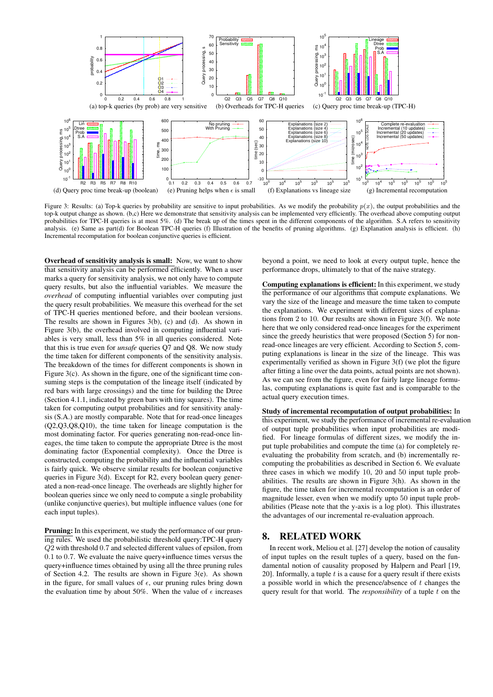

Figure 3: Results: (a) Top-k queries by probability are sensitive to input probabilities. As we modify the probability  $p(x)$ , the output probabilities and the top-k output change as shown. (b,c) Here we demonstrate that sensitivity analysis can be implemented very efficiently. The overhead above computing output probabilities for TPC-H queries is at most 5%. (d) The break up of the times spent in the different components of the algorithm. S.A refers to sensitivity analysis. (e) Same as part(d) for Boolean TPC-H queries (f) Illustration of the benefits of pruning algorithms. (g) Explanation analysis is efficient. (h) Incremental recomputation for boolean conjunctive queries is efficient.

Overhead of sensitivity analysis is small: Now, we want to show that sensitivity analysis can be performed efficiently. When a user marks a query for sensitivity analysis, we not only have to compute query results, but also the influential variables. We measure the *overhead* of computing influential variables over computing just the query result probabilities. We measure this overhead for the set of TPC-H queries mentioned before, and their boolean versions. The results are shown in Figures 3(b), (c) and (d). As shown in Figure 3(b), the overhead involved in computing influential variables is very small, less than 5% in all queries considered. Note that this is true even for *unsafe* queries Q7 and Q8. We now study the time taken for different components of the sensitivity analysis. The breakdown of the times for different components is shown in Figure 3(c). As shown in the figure, one of the significant time consuming steps is the computation of the lineage itself (indicated by red bars with large crossings) and the time for building the Dtree (Section 4.1.1, indicated by green bars with tiny squares). The time taken for computing output probabilities and for sensitivity analysis (S.A.) are mostly comparable. Note that for read-once lineages (Q2,Q3,Q8,Q10), the time taken for lineage computation is the most dominating factor. For queries generating non-read-once lineages, the time taken to compute the appropriate Dtree is the most dominating factor (Exponential complexity). Once the Dtree is constructed, computing the probability and the influential variables is fairly quick. We observe similar results for boolean conjunctive queries in Figure 3(d). Except for R2, every boolean query generated a non-read-once lineage. The overheads are slightly higher for boolean queries since we only need to compute a single probability (unlike conjunctive queries), but multiple influence values (one for each input tuples).

Pruning: In this experiment, we study the performance of our pruning rules. We used the probabilistic threshold query:TPC-H query Q2 with threshold 0.7 and selected different values of epsilon, from 0.1 to 0.7. We evaluate the naive query+influence times versus the query+influence times obtained by using all the three pruning rules of Section 4.2. The results are shown in Figure 3(e). As shown in the figure, for small values of  $\epsilon$ , our pruning rules bring down the evaluation time by about 50%. When the value of  $\epsilon$  increases beyond a point, we need to look at every output tuple, hence the performance drops, ultimately to that of the naive strategy.

Computing explanations is efficient: In this experiment, we study the performance of our algorithms that compute explanations. We vary the size of the lineage and measure the time taken to compute the explanations. We experiment with different sizes of explanations from 2 to 10. Our results are shown in Figure 3(f). We note here that we only considered read-once lineages for the experiment since the greedy heuristics that were proposed (Section 5) for nonread-once lineages are very efficient. According to Section 5, computing explanations is linear in the size of the lineage. This was experimentally verified as shown in Figure 3(f) (we plot the figure after fitting a line over the data points, actual points are not shown). As we can see from the figure, even for fairly large lineage formulas, computing explanations is quite fast and is comparable to the actual query execution times.

Study of incremental recomputation of output probabilities: In this experiment, we study the performance of incremental re-evaluation of output tuple probabilities when input probabilities are modified. For lineage formulas of different sizes, we modify the input tuple probabilities and compute the time (a) for completely reevaluating the probability from scratch, and (b) incrementally recomputing the probabilities as described in Section 6. We evaluate three cases in which we modify 10, 20 and 50 input tuple probabilities. The results are shown in Figure 3(h). As shown in the figure, the time taken for incremental recomputation is an order of magnitude lesser, even when we modify upto 50 input tuple probabilities (Please note that the y-axis is a log plot). This illustrates the advantages of our incremental re-evaluation approach.

# 8. RELATED WORK

In recent work, Meliou et al. [27] develop the notion of causality of input tuples on the result tuples of a query, based on the fundamental notion of causality proposed by Halpern and Pearl [19, 20]. Informally, a tuple  $t$  is a cause for a query result if there exists a possible world in which the presence/absence of t changes the query result for that world. The *responsibility* of a tuple t on the